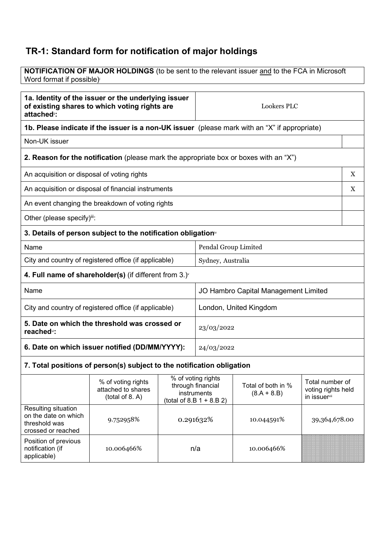## **TR-1: Standard form for notification of major holdings**

**NOTIFICATION OF MAJOR HOLDINGS** (to be sent to the relevant issuer and to the FCA in Microsoft Word format if possible)<sup>i</sup>

| 1a. Identity of the issuer or the underlying issuer<br>of existing shares to which voting rights are<br>attached <sup>®</sup> : |                                                                                                      |                                                                                                     | <b>Lookers PLC</b>                   |                                     |                                                       |
|---------------------------------------------------------------------------------------------------------------------------------|------------------------------------------------------------------------------------------------------|-----------------------------------------------------------------------------------------------------|--------------------------------------|-------------------------------------|-------------------------------------------------------|
|                                                                                                                                 | <b>1b. Please indicate if the issuer is a non-UK issuer</b> (please mark with an "X" if appropriate) |                                                                                                     |                                      |                                     |                                                       |
| Non-UK issuer                                                                                                                   |                                                                                                      |                                                                                                     |                                      |                                     |                                                       |
|                                                                                                                                 | 2. Reason for the notification (please mark the appropriate box or boxes with an "X")                |                                                                                                     |                                      |                                     |                                                       |
| An acquisition or disposal of voting rights                                                                                     |                                                                                                      |                                                                                                     |                                      |                                     | $\mathbf X$                                           |
|                                                                                                                                 | An acquisition or disposal of financial instruments                                                  |                                                                                                     |                                      |                                     | X                                                     |
|                                                                                                                                 | An event changing the breakdown of voting rights                                                     |                                                                                                     |                                      |                                     |                                                       |
| Other (please specify)iii:                                                                                                      |                                                                                                      |                                                                                                     |                                      |                                     |                                                       |
|                                                                                                                                 | 3. Details of person subject to the notification obligation <sup>®</sup>                             |                                                                                                     |                                      |                                     |                                                       |
| Name                                                                                                                            |                                                                                                      |                                                                                                     | Pendal Group Limited                 |                                     |                                                       |
| City and country of registered office (if applicable)                                                                           |                                                                                                      |                                                                                                     | Sydney, Australia                    |                                     |                                                       |
| 4. Full name of shareholder(s) (if different from $3.$ ) $\check{ }$                                                            |                                                                                                      |                                                                                                     |                                      |                                     |                                                       |
| Name                                                                                                                            |                                                                                                      |                                                                                                     | JO Hambro Capital Management Limited |                                     |                                                       |
| City and country of registered office (if applicable)                                                                           |                                                                                                      |                                                                                                     | London, United Kingdom               |                                     |                                                       |
| 5. Date on which the threshold was crossed or<br>reached <sup>*</sup> :                                                         |                                                                                                      |                                                                                                     | 23/03/2022                           |                                     |                                                       |
| 6. Date on which issuer notified (DD/MM/YYYY):                                                                                  |                                                                                                      |                                                                                                     | 24/03/2022                           |                                     |                                                       |
| 7. Total positions of person(s) subject to the notification obligation                                                          |                                                                                                      |                                                                                                     |                                      |                                     |                                                       |
|                                                                                                                                 | % of voting rights<br>attached to shares<br>(total of 8. A)                                          | $\overline{\%}$ of voting rights<br>through financial<br>instruments<br>(total of 8.B $1 + 8.B 2$ ) |                                      | Total of both in %<br>$(8.A + 8.B)$ | Total number of<br>voting rights held<br>in issuervii |
| Resulting situation                                                                                                             |                                                                                                      |                                                                                                     |                                      |                                     |                                                       |

| Resulting situation<br>on the date on which<br>threshold was<br>crossed or reached | 9.752958%  | 0.291632% | 10.044591% | 39,364,678.00 |
|------------------------------------------------------------------------------------|------------|-----------|------------|---------------|
| Position of previous<br>notification (if<br>applicable)                            | 10.006466% | n/a       | 10.006466% |               |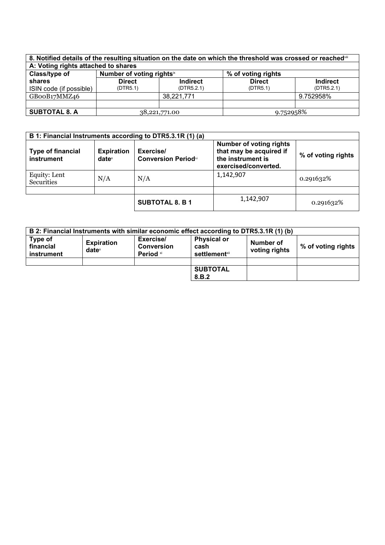| 8. Notified details of the resulting situation on the date on which the threshold was crossed or reached in |                                                             |                 |               |                 |
|-------------------------------------------------------------------------------------------------------------|-------------------------------------------------------------|-----------------|---------------|-----------------|
| A: Voting rights attached to shares                                                                         |                                                             |                 |               |                 |
| Class/type of                                                                                               | Number of voting rights <sup>ix</sup><br>% of voting rights |                 |               |                 |
| shares                                                                                                      | <b>Direct</b>                                               | <b>Indirect</b> | <b>Direct</b> | <b>Indirect</b> |
| ISIN code (if possible)                                                                                     | (DTR5.1)                                                    | (DTR5.2.1)      | (DTR5.1)      | (DTR5.2.1)      |
| GBooB17MMZ46                                                                                                |                                                             | 38,221,771      |               | 9.752958%       |
|                                                                                                             |                                                             |                 |               |                 |
| <b>SUBTOTAL 8. A</b>                                                                                        | 38,221,771.00                                               |                 | 9.752958%     |                 |

| B 1: Financial Instruments according to DTR5.3.1R (1) (a) |                               |                                         |                                                                                                        |                    |
|-----------------------------------------------------------|-------------------------------|-----------------------------------------|--------------------------------------------------------------------------------------------------------|--------------------|
| <b>Type of financial</b><br>instrument                    | <b>Expiration</b><br>$date^x$ | Exercise/<br><b>Conversion Periodxi</b> | <b>Number of voting rights</b><br>that may be acquired if<br>the instrument is<br>exercised/converted. | % of voting rights |
| Equity: Lent<br>Securities                                | N/A                           | N/A                                     | 1,142,907                                                                                              | 0.291632%          |
|                                                           |                               |                                         |                                                                                                        |                    |
|                                                           |                               | <b>SUBTOTAL 8. B 1</b>                  | 1,142,907                                                                                              | 0.291632%          |

|                                    |                                      |                                             | B 2: Financial Instruments with similar economic effect according to DTR5.3.1R (1) (b) |                            |                    |
|------------------------------------|--------------------------------------|---------------------------------------------|----------------------------------------------------------------------------------------|----------------------------|--------------------|
| Type of<br>financial<br>instrument | <b>Expiration</b><br>$date^{\times}$ | Exercise/<br><b>Conversion</b><br>Period xi | <b>Physical or</b><br>cash<br><b>settlement</b> xii                                    | Number of<br>voting rights | % of voting rights |
|                                    |                                      |                                             |                                                                                        |                            |                    |
|                                    |                                      |                                             | <b>SUBTOTAL</b><br>8.B.2                                                               |                            |                    |